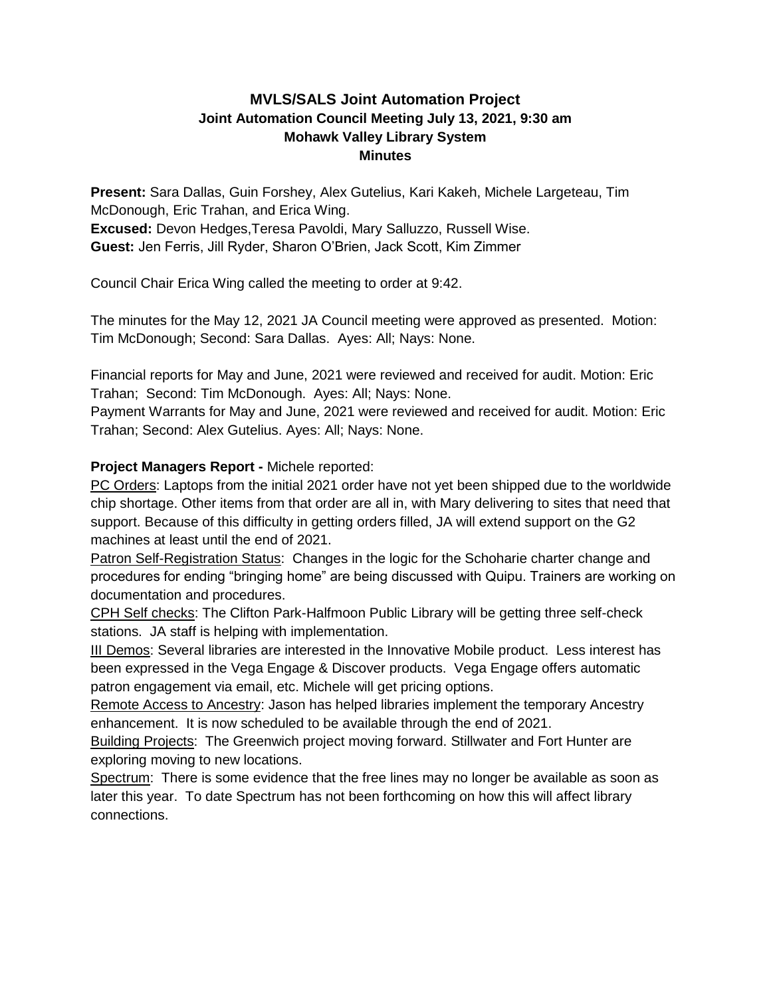# **MVLS/SALS Joint Automation Project Joint Automation Council Meeting July 13, 2021, 9:30 am Mohawk Valley Library System Minutes**

**Present:** Sara Dallas, Guin Forshey, Alex Gutelius, Kari Kakeh, Michele Largeteau, Tim McDonough, Eric Trahan, and Erica Wing. **Excused:** Devon Hedges,Teresa Pavoldi, Mary Salluzzo, Russell Wise. **Guest:** Jen Ferris, Jill Ryder, Sharon O'Brien, Jack Scott, Kim Zimmer

Council Chair Erica Wing called the meeting to order at 9:42.

The minutes for the May 12, 2021 JA Council meeting were approved as presented. Motion: Tim McDonough; Second: Sara Dallas. Ayes: All; Nays: None.

Financial reports for May and June, 2021 were reviewed and received for audit. Motion: Eric Trahan; Second: Tim McDonough. Ayes: All; Nays: None.

Payment Warrants for May and June, 2021 were reviewed and received for audit. Motion: Eric Trahan; Second: Alex Gutelius. Ayes: All; Nays: None.

# **Project Managers Report -** Michele reported:

PC Orders: Laptops from the initial 2021 order have not yet been shipped due to the worldwide chip shortage. Other items from that order are all in, with Mary delivering to sites that need that support. Because of this difficulty in getting orders filled, JA will extend support on the G2 machines at least until the end of 2021.

Patron Self-Registration Status: Changes in the logic for the Schoharie charter change and procedures for ending "bringing home" are being discussed with Quipu. Trainers are working on documentation and procedures.

CPH Self checks: The Clifton Park-Halfmoon Public Library will be getting three self-check stations. JA staff is helping with implementation.

III Demos: Several libraries are interested in the Innovative Mobile product. Less interest has been expressed in the Vega Engage & Discover products. Vega Engage offers automatic patron engagement via email, etc. Michele will get pricing options.

Remote Access to Ancestry: Jason has helped libraries implement the temporary Ancestry enhancement. It is now scheduled to be available through the end of 2021.

Building Projects: The Greenwich project moving forward. Stillwater and Fort Hunter are exploring moving to new locations.

Spectrum: There is some evidence that the free lines may no longer be available as soon as later this year. To date Spectrum has not been forthcoming on how this will affect library connections.